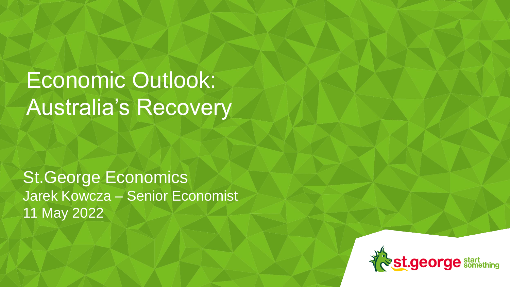# Economic Outlook: Australia's Recovery

St.George Economics Jarek Kowcza – Senior Economist 11 May 2022

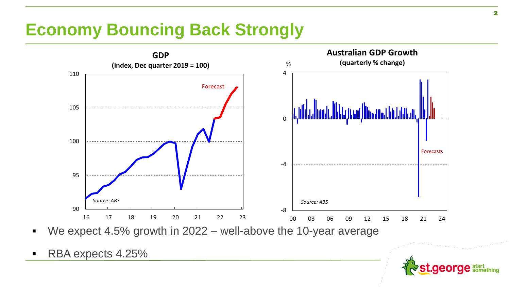# **Economy Bouncing Back Strongly**



We expect 4.5% growth in  $2022 -$  well-above the 10-year average

RBA expects 4.25%

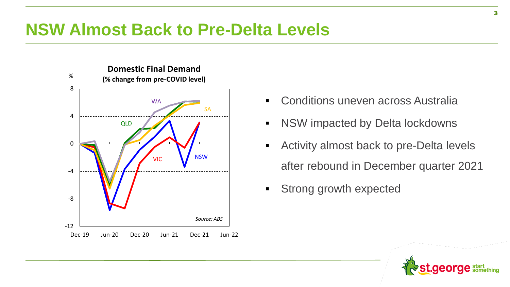### **NSW Almost Back to Pre-Delta Levels**



- Conditions uneven across Australia
- NSW impacted by Delta lockdowns
- Activity almost back to pre-Delta levels after rebound in December quarter 2021
- **EXECUTE:** Strong growth expected

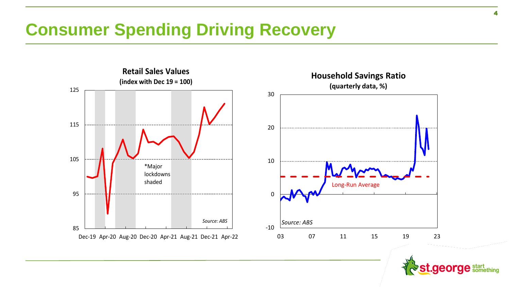# **Consumer Spending Driving Recovery**



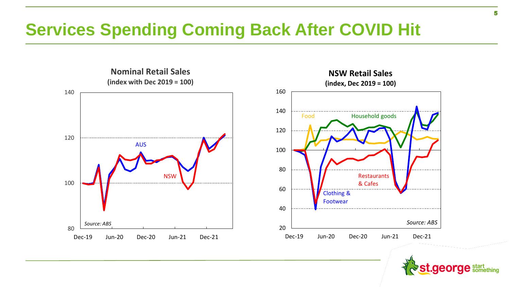# **Services Spending Coming Back After COVID Hit**



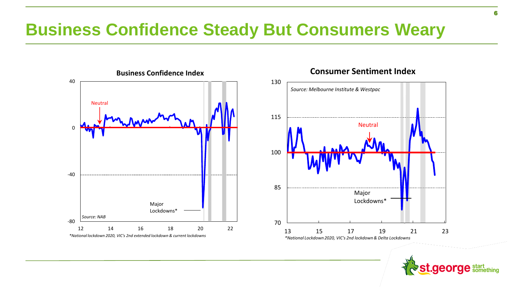### **Business Confidence Steady But Consumers Weary**



#### **Consumer Sentiment Index**

Neutral

Major Lockdowns\*

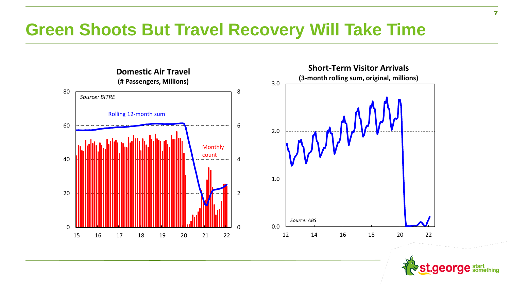### **Green Shoots But Travel Recovery Will Take Time**



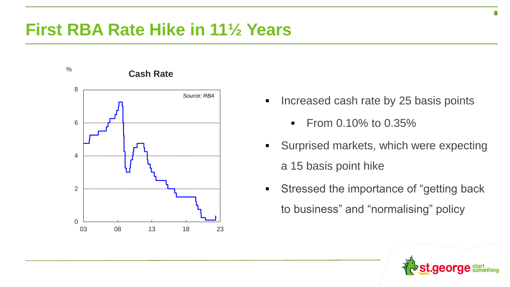### **First RBA Rate Hike in 11½ Years**



- Increased cash rate by 25 basis points
	- From 0.10% to 0.35%
- Surprised markets, which were expecting a 15 basis point hike
- Stressed the importance of "getting back to business" and "normalising" policy



8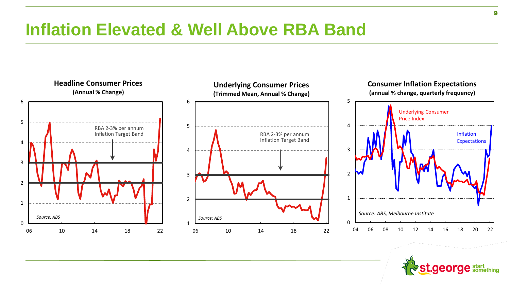# **Inflation Elevated & Well Above RBA Band**



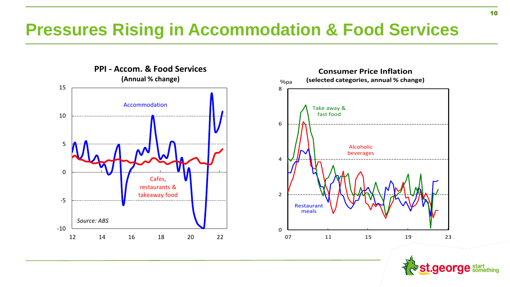### **Pressures Rising in Accommodation & Food Services**





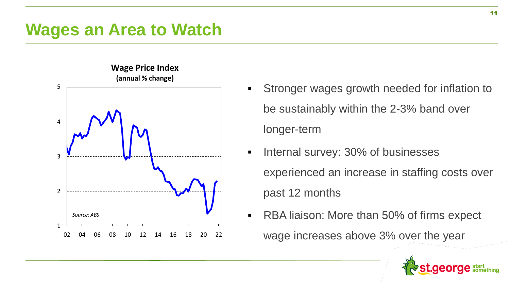

- **Wage Price Index**
- Stronger wages growth needed for inflation to be sustainably within the 2-3% band over longer-term
- Internal survey: 30% of businesses experienced an increase in staffing costs over past 12 months
- RBA liaison: More than 50% of firms expect
	- wage increases above 3% over the year

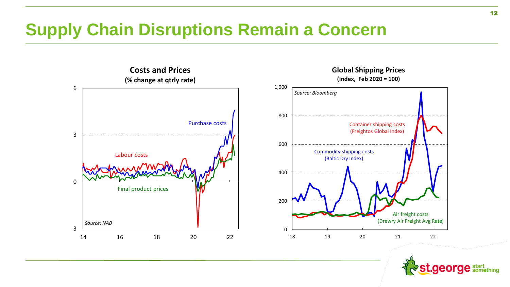# **Supply Chain Disruptions Remain a Concern**



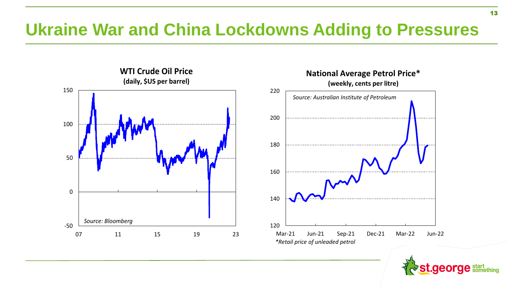# **Ukraine War and China Lockdowns Adding to Pressures**



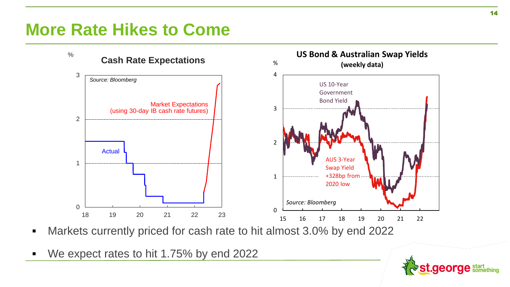### **More Rate Hikes to Come**



- Markets currently priced for cash rate to hit almost 3.0% by end 2022
- We expect rates to hit 1.75% by end 2022

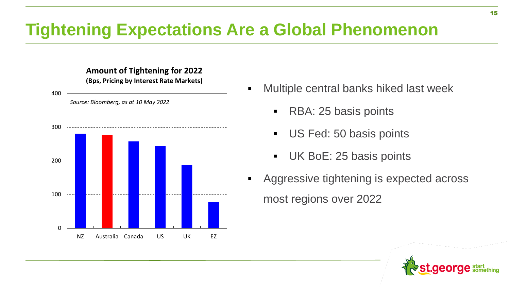# **Tightening Expectations Are a Global Phenomenon**

#### **Amount of Tightening for 2022 (Bps, Pricing by Interest Rate Markets)**



- Multiple central banks hiked last week
	- RBA: 25 basis points
	- US Fed: 50 basis points
	- UK BoE: 25 basis points
- Aggressive tightening is expected across most regions over 2022

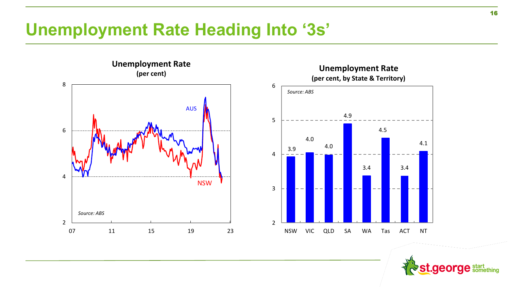# **Unemployment Rate Heading Into '3s'**





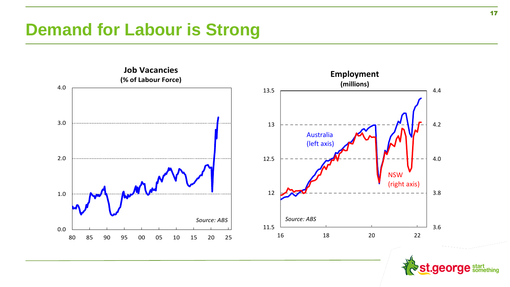## **Demand for Labour is Strong**



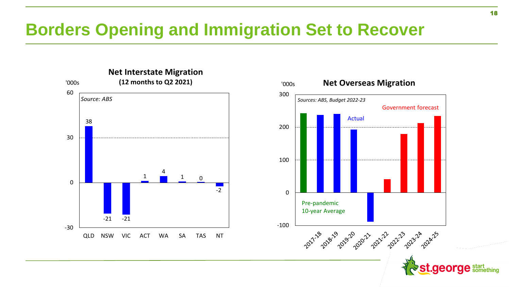# **Borders Opening and Immigration Set to Recover**



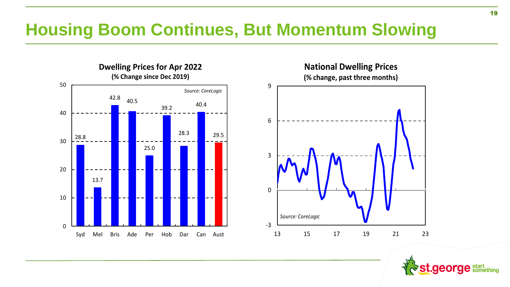# **Housing Boom Continues, But Momentum Slowing**





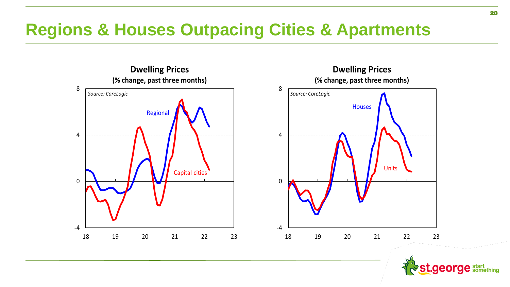# **Regions & Houses Outpacing Cities & Apartments**





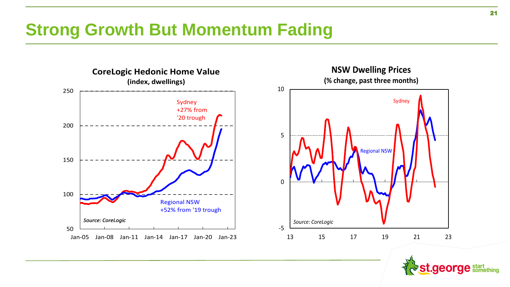# **Strong Growth But Momentum Fading**



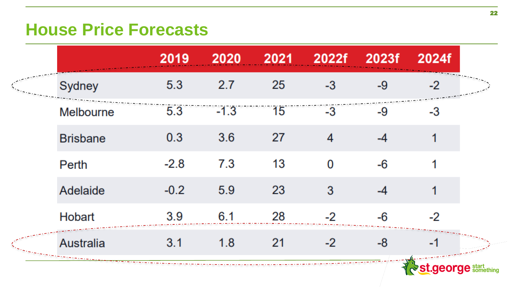### **House Price Forecasts**

|  |                  | 2019   | 2020   | 2021 | 2022f | 2023f | 2024f                  |  |
|--|------------------|--------|--------|------|-------|-------|------------------------|--|
|  | Sydney           | 5.3    | 2.7    | 25   | $-3$  | $-9$  | $-2$                   |  |
|  | <b>Melbourne</b> | 5.3    | $-1.3$ | 15   | $-3$  | -9    | $-3$                   |  |
|  | <b>Brisbane</b>  | 0.3    | 3.6    | 27   | 4     | $-4$  | 1                      |  |
|  | Perth            | $-2.8$ | 7.3    | 13   | 0     | $-6$  |                        |  |
|  | Adelaide         | $-0.2$ | 5.9    | 23   | 3     | $-4$  |                        |  |
|  | <b>Hobart</b>    | 3.9    | 6.1    | 28   | $-2$  | $-6$  | $-2$                   |  |
|  | <b>Australia</b> | 3.1    | 1.8    | 21   | $-2$  | -8    | -1                     |  |
|  |                  |        |        |      |       |       | <b>St.george</b> start |  |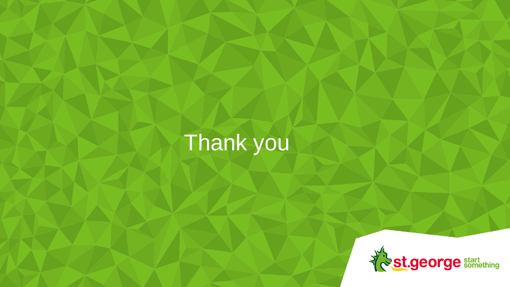# Thank you